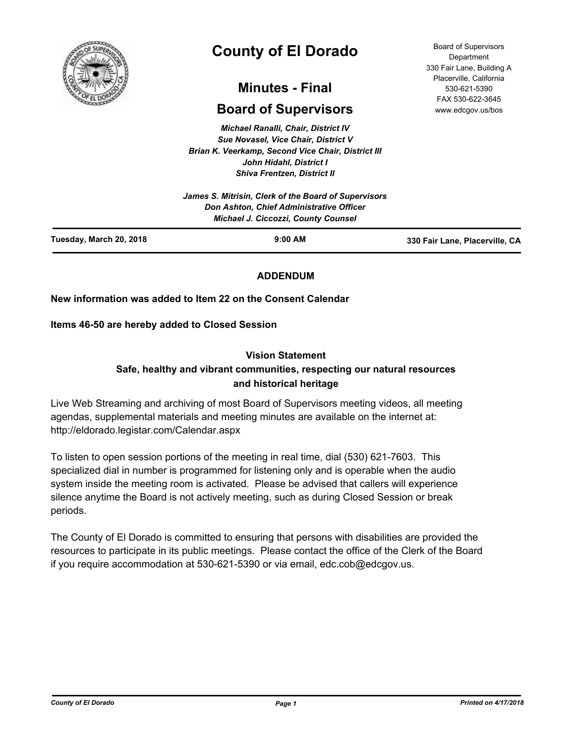

# **County of El Dorado**

# **Minutes - Final**

# **Board of Supervisors**

*Michael Ranalli, Chair, District IV Sue Novasel, Vice Chair, District V Brian K. Veerkamp, Second Vice Chair, District III John Hidahl, District I Shiva Frentzen, District II*

|                         | Don Ashton, Chief Administrative Officer<br><b>Michael J. Ciccozzi, County Counsel</b> |                                |
|-------------------------|----------------------------------------------------------------------------------------|--------------------------------|
| Tuesday, March 20, 2018 | $9:00$ AM                                                                              | 330 Fair Lane, Placerville, CA |

# **ADDENDUM**

# **New information was added to Item 22 on the Consent Calendar**

**Items 46-50 are hereby added to Closed Session**

#### **Vision Statement**

# **Safe, healthy and vibrant communities, respecting our natural resources and historical heritage**

Live Web Streaming and archiving of most Board of Supervisors meeting videos, all meeting agendas, supplemental materials and meeting minutes are available on the internet at: http://eldorado.legistar.com/Calendar.aspx

To listen to open session portions of the meeting in real time, dial (530) 621-7603. This specialized dial in number is programmed for listening only and is operable when the audio system inside the meeting room is activated. Please be advised that callers will experience silence anytime the Board is not actively meeting, such as during Closed Session or break periods.

The County of El Dorado is committed to ensuring that persons with disabilities are provided the resources to participate in its public meetings. Please contact the office of the Clerk of the Board if you require accommodation at 530-621-5390 or via email, edc.cob@edcgov.us.

Board of Supervisors Department 330 Fair Lane, Building A Placerville, California 530-621-5390 FAX 530-622-3645 www.edcgov.us/bos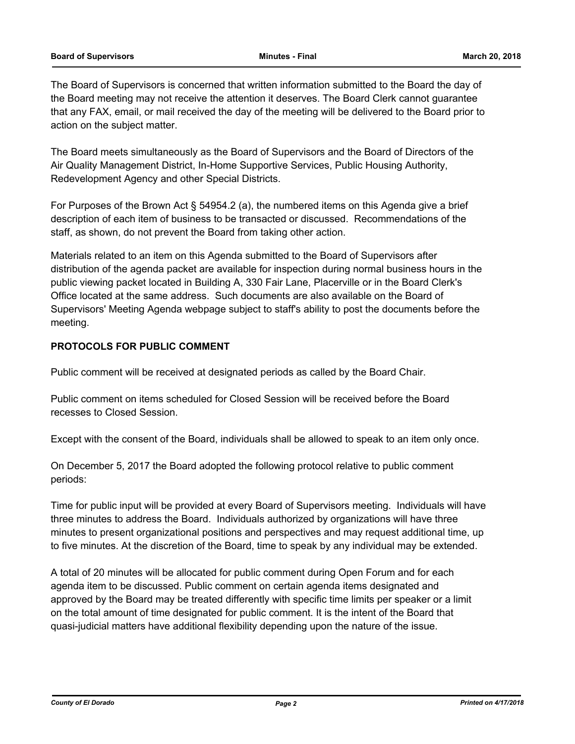#### **Board of Supervisors Minutes - Final March 20, 2018**

The Board of Supervisors is concerned that written information submitted to the Board the day of the Board meeting may not receive the attention it deserves. The Board Clerk cannot guarantee that any FAX, email, or mail received the day of the meeting will be delivered to the Board prior to action on the subject matter.

The Board meets simultaneously as the Board of Supervisors and the Board of Directors of the Air Quality Management District, In-Home Supportive Services, Public Housing Authority, Redevelopment Agency and other Special Districts.

For Purposes of the Brown Act § 54954.2 (a), the numbered items on this Agenda give a brief description of each item of business to be transacted or discussed. Recommendations of the staff, as shown, do not prevent the Board from taking other action.

Materials related to an item on this Agenda submitted to the Board of Supervisors after distribution of the agenda packet are available for inspection during normal business hours in the public viewing packet located in Building A, 330 Fair Lane, Placerville or in the Board Clerk's Office located at the same address. Such documents are also available on the Board of Supervisors' Meeting Agenda webpage subject to staff's ability to post the documents before the meeting.

# **PROTOCOLS FOR PUBLIC COMMENT**

Public comment will be received at designated periods as called by the Board Chair.

Public comment on items scheduled for Closed Session will be received before the Board recesses to Closed Session.

Except with the consent of the Board, individuals shall be allowed to speak to an item only once.

On December 5, 2017 the Board adopted the following protocol relative to public comment periods:

Time for public input will be provided at every Board of Supervisors meeting. Individuals will have three minutes to address the Board. Individuals authorized by organizations will have three minutes to present organizational positions and perspectives and may request additional time, up to five minutes. At the discretion of the Board, time to speak by any individual may be extended.

A total of 20 minutes will be allocated for public comment during Open Forum and for each agenda item to be discussed. Public comment on certain agenda items designated and approved by the Board may be treated differently with specific time limits per speaker or a limit on the total amount of time designated for public comment. It is the intent of the Board that quasi-judicial matters have additional flexibility depending upon the nature of the issue.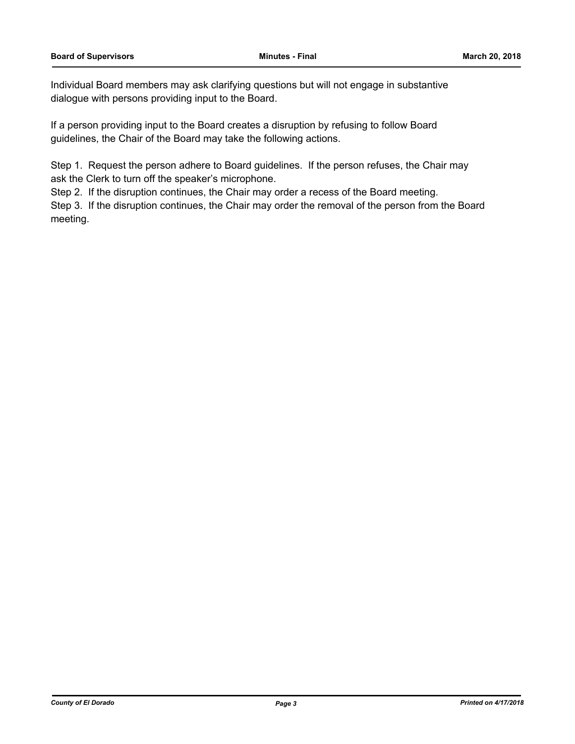Individual Board members may ask clarifying questions but will not engage in substantive dialogue with persons providing input to the Board.

If a person providing input to the Board creates a disruption by refusing to follow Board guidelines, the Chair of the Board may take the following actions.

Step 1. Request the person adhere to Board guidelines. If the person refuses, the Chair may ask the Clerk to turn off the speaker's microphone.

Step 2. If the disruption continues, the Chair may order a recess of the Board meeting.

Step 3. If the disruption continues, the Chair may order the removal of the person from the Board meeting.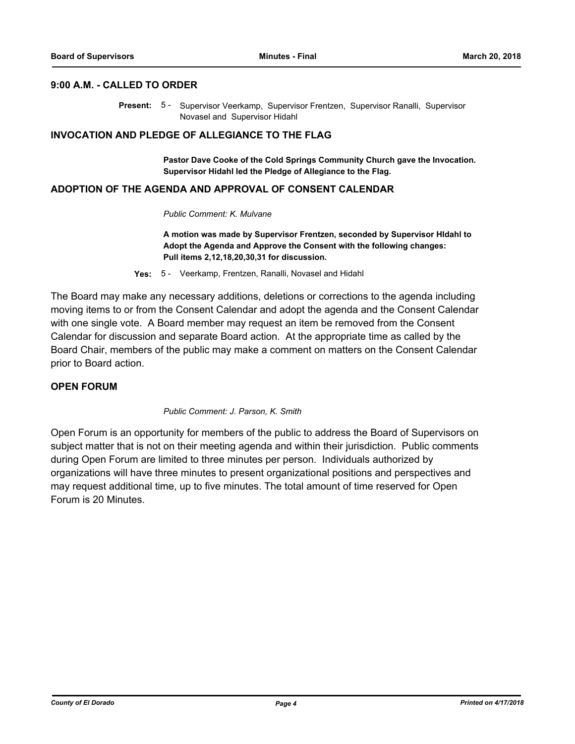#### **9:00 A.M. - CALLED TO ORDER**

Present: 5 - Supervisor Veerkamp, Supervisor Frentzen, Supervisor Ranalli, Supervisor Novasel and Supervisor Hidahl

#### **INVOCATION AND PLEDGE OF ALLEGIANCE TO THE FLAG**

**Pastor Dave Cooke of the Cold Springs Community Church gave the Invocation. Supervisor Hidahl led the Pledge of Allegiance to the Flag.**

## **ADOPTION OF THE AGENDA AND APPROVAL OF CONSENT CALENDAR**

#### *Public Comment: K. Mulvane*

**A motion was made by Supervisor Frentzen, seconded by Supervisor HIdahl to Adopt the Agenda and Approve the Consent with the following changes: Pull items 2,12,18,20,30,31 for discussion.**

**Yes:** 5 - Veerkamp, Frentzen, Ranalli, Novasel and Hidahl

The Board may make any necessary additions, deletions or corrections to the agenda including moving items to or from the Consent Calendar and adopt the agenda and the Consent Calendar with one single vote. A Board member may request an item be removed from the Consent Calendar for discussion and separate Board action. At the appropriate time as called by the Board Chair, members of the public may make a comment on matters on the Consent Calendar prior to Board action.

# **OPEN FORUM**

*Public Comment: J. Parson, K. Smith*

Open Forum is an opportunity for members of the public to address the Board of Supervisors on subject matter that is not on their meeting agenda and within their jurisdiction. Public comments during Open Forum are limited to three minutes per person. Individuals authorized by organizations will have three minutes to present organizational positions and perspectives and may request additional time, up to five minutes. The total amount of time reserved for Open Forum is 20 Minutes.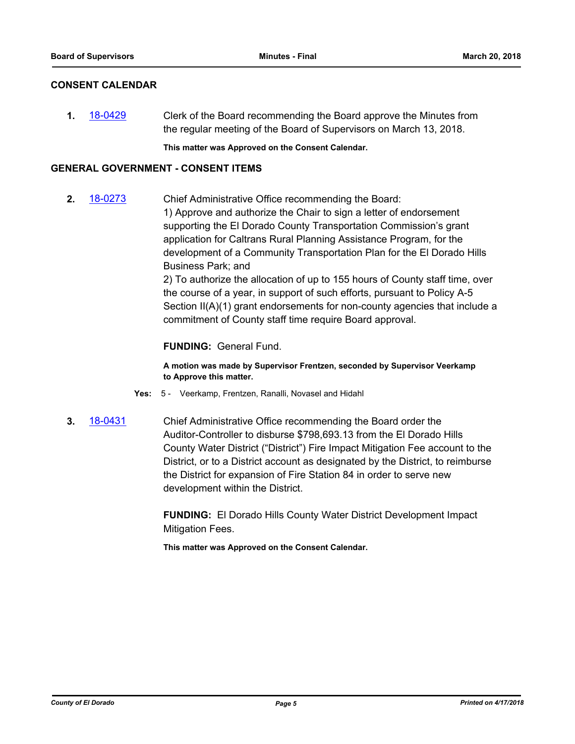# **CONSENT CALENDAR**

**1.** [18-0429](http://eldorado.legistar.com/gateway.aspx?m=l&id=/matter.aspx?key=23774) Clerk of the Board recommending the Board approve the Minutes from the regular meeting of the Board of Supervisors on March 13, 2018.

**This matter was Approved on the Consent Calendar.**

# **GENERAL GOVERNMENT - CONSENT ITEMS**

**2.** [18-0273](http://eldorado.legistar.com/gateway.aspx?m=l&id=/matter.aspx?key=23616) Chief Administrative Office recommending the Board: 1) Approve and authorize the Chair to sign a letter of endorsement supporting the El Dorado County Transportation Commission's grant application for Caltrans Rural Planning Assistance Program, for the development of a Community Transportation Plan for the El Dorado Hills Business Park; and

> 2) To authorize the allocation of up to 155 hours of County staff time, over the course of a year, in support of such efforts, pursuant to Policy A-5 Section II(A)(1) grant endorsements for non-county agencies that include a commitment of County staff time require Board approval.

# **FUNDING:** General Fund.

**A motion was made by Supervisor Frentzen, seconded by Supervisor Veerkamp to Approve this matter.**

- **Yes:** 5 Veerkamp, Frentzen, Ranalli, Novasel and Hidahl
- **3.** [18-0431](http://eldorado.legistar.com/gateway.aspx?m=l&id=/matter.aspx?key=23776) Chief Administrative Office recommending the Board order the Auditor-Controller to disburse \$798,693.13 from the El Dorado Hills County Water District ("District") Fire Impact Mitigation Fee account to the District, or to a District account as designated by the District, to reimburse the District for expansion of Fire Station 84 in order to serve new development within the District.

**FUNDING:** El Dorado Hills County Water District Development Impact Mitigation Fees.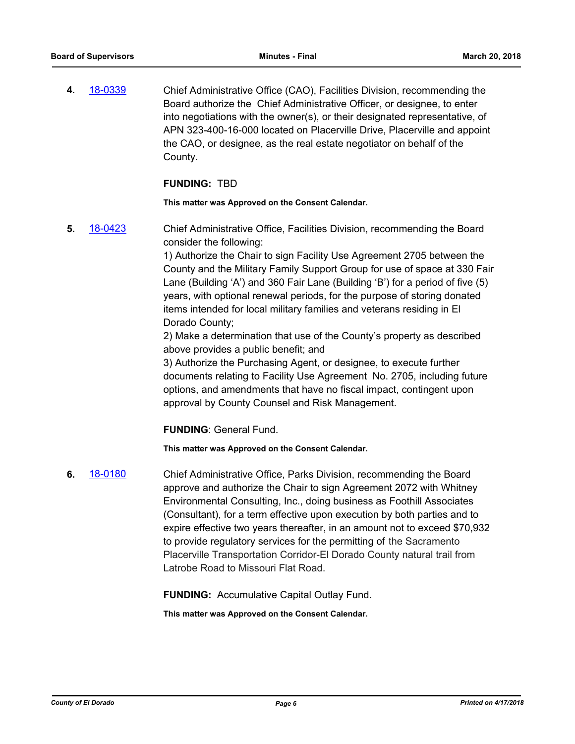**4.** [18-0339](http://eldorado.legistar.com/gateway.aspx?m=l&id=/matter.aspx?key=23682) Chief Administrative Office (CAO), Facilities Division, recommending the Board authorize the Chief Administrative Officer, or designee, to enter into negotiations with the owner(s), or their designated representative, of APN 323-400-16-000 located on Placerville Drive, Placerville and appoint the CAO, or designee, as the real estate negotiator on behalf of the County.

#### **FUNDING:** TBD

**This matter was Approved on the Consent Calendar.**

**5.** [18-0423](http://eldorado.legistar.com/gateway.aspx?m=l&id=/matter.aspx?key=23768) Chief Administrative Office, Facilities Division, recommending the Board consider the following:

> 1) Authorize the Chair to sign Facility Use Agreement 2705 between the County and the Military Family Support Group for use of space at 330 Fair Lane (Building 'A') and 360 Fair Lane (Building 'B') for a period of five (5) years, with optional renewal periods, for the purpose of storing donated items intended for local military families and veterans residing in El Dorado County;

2) Make a determination that use of the County's property as described above provides a public benefit; and

3) Authorize the Purchasing Agent, or designee, to execute further documents relating to Facility Use Agreement No. 2705, including future options, and amendments that have no fiscal impact, contingent upon approval by County Counsel and Risk Management.

**FUNDING**: General Fund.

**This matter was Approved on the Consent Calendar.**

**6.** [18-0180](http://eldorado.legistar.com/gateway.aspx?m=l&id=/matter.aspx?key=23522) Chief Administrative Office, Parks Division, recommending the Board approve and authorize the Chair to sign Agreement 2072 with Whitney Environmental Consulting, Inc., doing business as Foothill Associates (Consultant), for a term effective upon execution by both parties and to expire effective two years thereafter, in an amount not to exceed \$70,932 to provide regulatory services for the permitting of the Sacramento Placerville Transportation Corridor-El Dorado County natural trail from Latrobe Road to Missouri Flat Road.

**FUNDING:** Accumulative Capital Outlay Fund.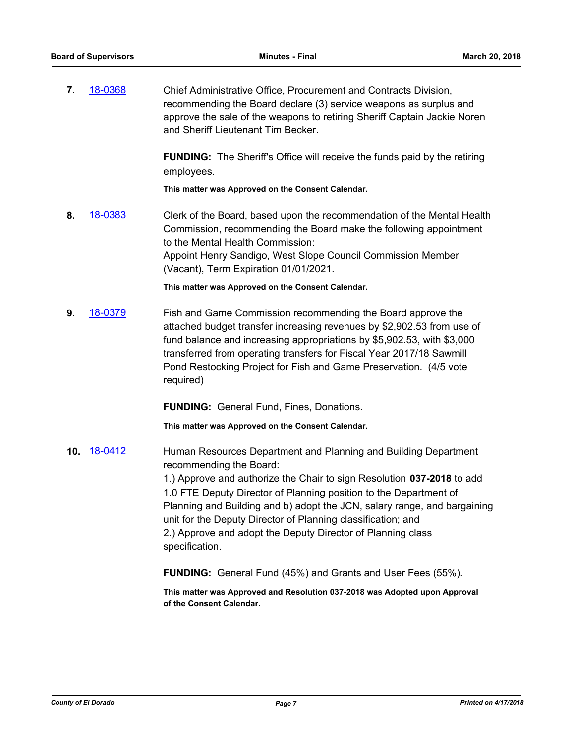**7.** [18-0368](http://eldorado.legistar.com/gateway.aspx?m=l&id=/matter.aspx?key=23711) Chief Administrative Office, Procurement and Contracts Division, recommending the Board declare (3) service weapons as surplus and approve the sale of the weapons to retiring Sheriff Captain Jackie Noren and Sheriff Lieutenant Tim Becker.

> **FUNDING:** The Sheriff's Office will receive the funds paid by the retiring employees.

**This matter was Approved on the Consent Calendar.**

**8.** [18-0383](http://eldorado.legistar.com/gateway.aspx?m=l&id=/matter.aspx?key=23728) Clerk of the Board, based upon the recommendation of the Mental Health Commission, recommending the Board make the following appointment to the Mental Health Commission: Appoint Henry Sandigo, West Slope Council Commission Member (Vacant), Term Expiration 01/01/2021.

**This matter was Approved on the Consent Calendar.**

**9.** [18-0379](http://eldorado.legistar.com/gateway.aspx?m=l&id=/matter.aspx?key=23724) Fish and Game Commission recommending the Board approve the attached budget transfer increasing revenues by \$2,902.53 from use of fund balance and increasing appropriations by \$5,902.53, with \$3,000 transferred from operating transfers for Fiscal Year 2017/18 Sawmill Pond Restocking Project for Fish and Game Preservation. (4/5 vote required)

**FUNDING:** General Fund, Fines, Donations.

**This matter was Approved on the Consent Calendar.**

**10.** [18-0412](http://eldorado.legistar.com/gateway.aspx?m=l&id=/matter.aspx?key=23757) Human Resources Department and Planning and Building Department recommending the Board: 1.) Approve and authorize the Chair to sign Resolution **037-2018** to add 1.0 FTE Deputy Director of Planning position to the Department of Planning and Building and b) adopt the JCN, salary range, and bargaining unit for the Deputy Director of Planning classification; and 2.) Approve and adopt the Deputy Director of Planning class

specification.

**FUNDING:** General Fund (45%) and Grants and User Fees (55%).

**This matter was Approved and Resolution 037-2018 was Adopted upon Approval of the Consent Calendar.**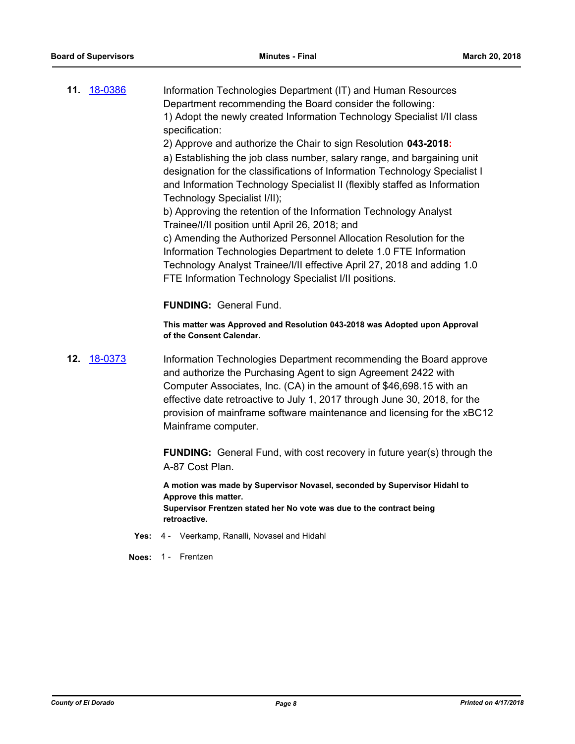**11.** [18-0386](http://eldorado.legistar.com/gateway.aspx?m=l&id=/matter.aspx?key=23731) Information Technologies Department (IT) and Human Resources Department recommending the Board consider the following: 1) Adopt the newly created Information Technology Specialist I/II class specification:

2) Approve and authorize the Chair to sign Resolution **043-2018:**

a) Establishing the job class number, salary range, and bargaining unit designation for the classifications of Information Technology Specialist I and Information Technology Specialist II (flexibly staffed as Information Technology Specialist I/II);

b) Approving the retention of the Information Technology Analyst Trainee/I/II position until April 26, 2018; and

c) Amending the Authorized Personnel Allocation Resolution for the Information Technologies Department to delete 1.0 FTE Information Technology Analyst Trainee/I/II effective April 27, 2018 and adding 1.0 FTE Information Technology Specialist I/II positions.

**FUNDING:** General Fund.

**This matter was Approved and Resolution 043-2018 was Adopted upon Approval of the Consent Calendar.**

**12.** [18-0373](http://eldorado.legistar.com/gateway.aspx?m=l&id=/matter.aspx?key=23718) Information Technologies Department recommending the Board approve and authorize the Purchasing Agent to sign Agreement 2422 with Computer Associates, Inc. (CA) in the amount of \$46,698.15 with an effective date retroactive to July 1, 2017 through June 30, 2018, for the provision of mainframe software maintenance and licensing for the xBC12 Mainframe computer.

> **FUNDING:** General Fund, with cost recovery in future year(s) through the A-87 Cost Plan.

**A motion was made by Supervisor Novasel, seconded by Supervisor Hidahl to Approve this matter. Supervisor Frentzen stated her No vote was due to the contract being retroactive.**

- **Yes:** 4 Veerkamp, Ranalli, Novasel and Hidahl
- **Noes:** 1 Frentzen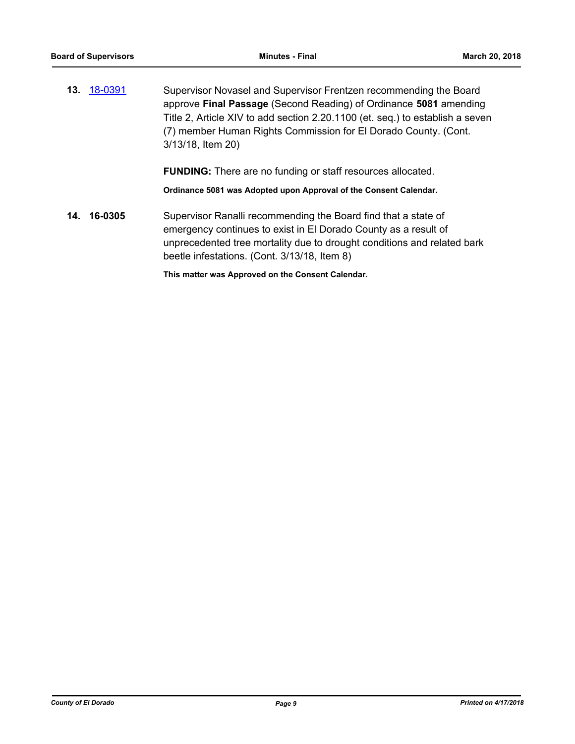**13.** [18-0391](http://eldorado.legistar.com/gateway.aspx?m=l&id=/matter.aspx?key=23736) Supervisor Novasel and Supervisor Frentzen recommending the Board approve **Final Passage** (Second Reading) of Ordinance **5081** amending Title 2, Article XIV to add section 2.20.1100 (et. seq.) to establish a seven (7) member Human Rights Commission for El Dorado County. (Cont. 3/13/18, Item 20)

**FUNDING:** There are no funding or staff resources allocated.

**Ordinance 5081 was Adopted upon Approval of the Consent Calendar.**

**14. 16-0305** Supervisor Ranalli recommending the Board find that a state of emergency continues to exist in El Dorado County as a result of unprecedented tree mortality due to drought conditions and related bark beetle infestations. (Cont. 3/13/18, Item 8)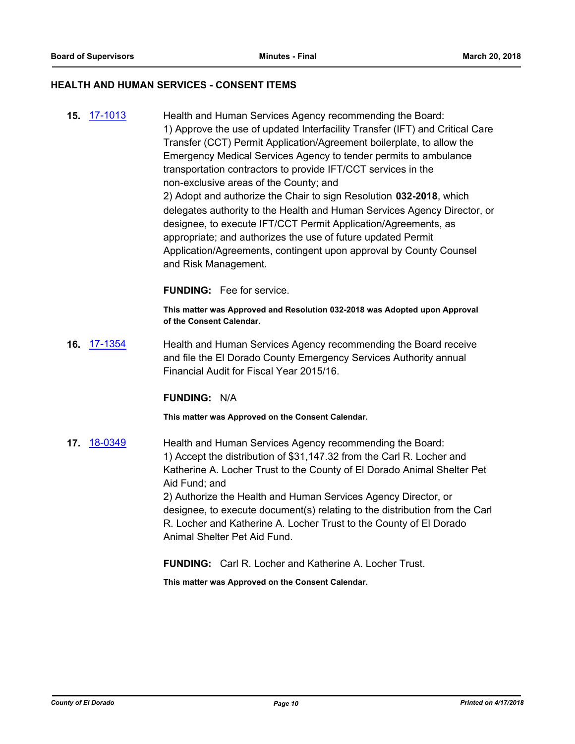#### **HEALTH AND HUMAN SERVICES - CONSENT ITEMS**

**15.** [17-1013](http://eldorado.legistar.com/gateway.aspx?m=l&id=/matter.aspx?key=22957) Health and Human Services Agency recommending the Board: 1) Approve the use of updated Interfacility Transfer (IFT) and Critical Care Transfer (CCT) Permit Application/Agreement boilerplate, to allow the Emergency Medical Services Agency to tender permits to ambulance transportation contractors to provide IFT/CCT services in the non-exclusive areas of the County; and 2) Adopt and authorize the Chair to sign Resolution **032-2018**, which delegates authority to the Health and Human Services Agency Director, or designee, to execute IFT/CCT Permit Application/Agreements, as appropriate; and authorizes the use of future updated Permit Application/Agreements, contingent upon approval by County Counsel and Risk Management.

**FUNDING:** Fee for service.

**This matter was Approved and Resolution 032-2018 was Adopted upon Approval of the Consent Calendar.**

**16.** [17-1354](http://eldorado.legistar.com/gateway.aspx?m=l&id=/matter.aspx?key=23300) Health and Human Services Agency recommending the Board receive and file the El Dorado County Emergency Services Authority annual Financial Audit for Fiscal Year 2015/16.

#### **FUNDING:** N/A

**This matter was Approved on the Consent Calendar.**

**17.** [18-0349](http://eldorado.legistar.com/gateway.aspx?m=l&id=/matter.aspx?key=23692) Health and Human Services Agency recommending the Board: 1) Accept the distribution of \$31,147.32 from the Carl R. Locher and Katherine A. Locher Trust to the County of El Dorado Animal Shelter Pet Aid Fund; and 2) Authorize the Health and Human Services Agency Director, or designee, to execute document(s) relating to the distribution from the Carl R. Locher and Katherine A. Locher Trust to the County of El Dorado Animal Shelter Pet Aid Fund.

**FUNDING:** Carl R. Locher and Katherine A. Locher Trust.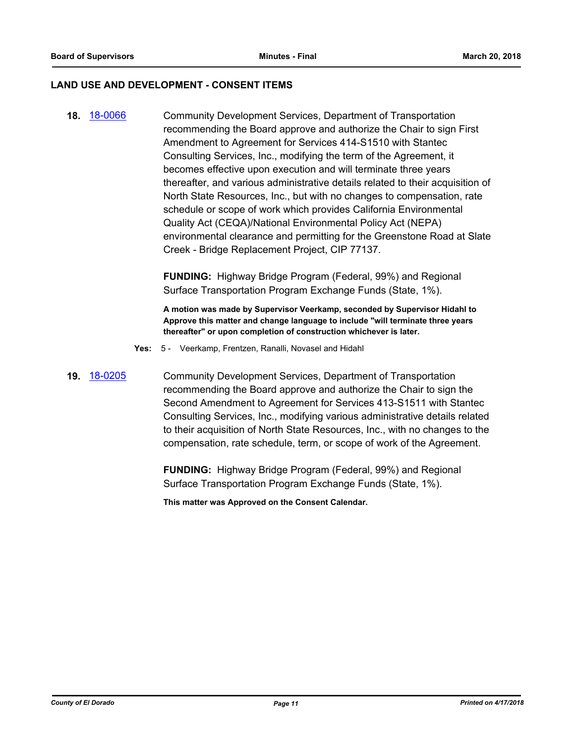#### **LAND USE AND DEVELOPMENT - CONSENT ITEMS**

**18.** [18-0066](http://eldorado.legistar.com/gateway.aspx?m=l&id=/matter.aspx?key=23407) Community Development Services, Department of Transportation recommending the Board approve and authorize the Chair to sign First Amendment to Agreement for Services 414-S1510 with Stantec Consulting Services, Inc., modifying the term of the Agreement, it becomes effective upon execution and will terminate three years thereafter, and various administrative details related to their acquisition of North State Resources, Inc., but with no changes to compensation, rate schedule or scope of work which provides California Environmental Quality Act (CEQA)/National Environmental Policy Act (NEPA) environmental clearance and permitting for the Greenstone Road at Slate Creek - Bridge Replacement Project, CIP 77137.

> **FUNDING:** Highway Bridge Program (Federal, 99%) and Regional Surface Transportation Program Exchange Funds (State, 1%).

**A motion was made by Supervisor Veerkamp, seconded by Supervisor Hidahl to Approve this matter and change language to include "will terminate three years thereafter" or upon completion of construction whichever is later.**

- **Yes:** 5 Veerkamp, Frentzen, Ranalli, Novasel and Hidahl
- **19.** [18-0205](http://eldorado.legistar.com/gateway.aspx?m=l&id=/matter.aspx?key=23547) Community Development Services, Department of Transportation recommending the Board approve and authorize the Chair to sign the Second Amendment to Agreement for Services 413-S1511 with Stantec Consulting Services, Inc., modifying various administrative details related to their acquisition of North State Resources, Inc., with no changes to the compensation, rate schedule, term, or scope of work of the Agreement.

**FUNDING:** Highway Bridge Program (Federal, 99%) and Regional Surface Transportation Program Exchange Funds (State, 1%).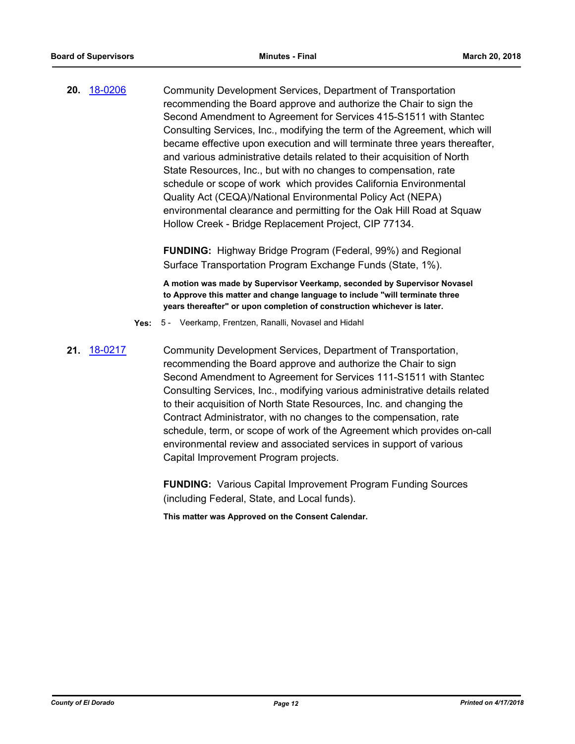**20.** [18-0206](http://eldorado.legistar.com/gateway.aspx?m=l&id=/matter.aspx?key=23548) Community Development Services, Department of Transportation recommending the Board approve and authorize the Chair to sign the Second Amendment to Agreement for Services 415-S1511 with Stantec Consulting Services, Inc., modifying the term of the Agreement, which will became effective upon execution and will terminate three years thereafter, and various administrative details related to their acquisition of North State Resources, Inc., but with no changes to compensation, rate schedule or scope of work which provides California Environmental Quality Act (CEQA)/National Environmental Policy Act (NEPA) environmental clearance and permitting for the Oak Hill Road at Squaw Hollow Creek - Bridge Replacement Project, CIP 77134.

> **FUNDING:** Highway Bridge Program (Federal, 99%) and Regional Surface Transportation Program Exchange Funds (State, 1%).

**A motion was made by Supervisor Veerkamp, seconded by Supervisor Novasel to Approve this matter and change language to include "will terminate three years thereafter" or upon completion of construction whichever is later.**

- **Yes:** 5 Veerkamp, Frentzen, Ranalli, Novasel and Hidahl
- **21.** [18-0217](http://eldorado.legistar.com/gateway.aspx?m=l&id=/matter.aspx?key=23559) Community Development Services, Department of Transportation, recommending the Board approve and authorize the Chair to sign Second Amendment to Agreement for Services 111-S1511 with Stantec Consulting Services, Inc., modifying various administrative details related to their acquisition of North State Resources, Inc. and changing the Contract Administrator, with no changes to the compensation, rate schedule, term, or scope of work of the Agreement which provides on-call environmental review and associated services in support of various Capital Improvement Program projects.

**FUNDING:** Various Capital Improvement Program Funding Sources (including Federal, State, and Local funds).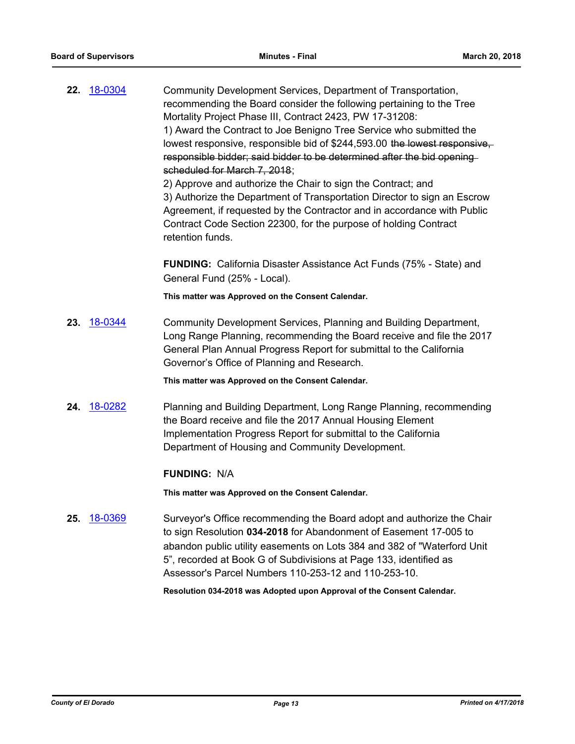| 22. 18-0304    | Community Development Services, Department of Transportation,<br>recommending the Board consider the following pertaining to the Tree<br>Mortality Project Phase III, Contract 2423, PW 17-31208:<br>1) Award the Contract to Joe Benigno Tree Service who submitted the<br>lowest responsive, responsible bid of \$244,593.00 the lowest responsive,<br>responsible bidder; said bidder to be determined after the bid opening-<br>scheduled for March 7, 2018;<br>2) Approve and authorize the Chair to sign the Contract; and<br>3) Authorize the Department of Transportation Director to sign an Escrow<br>Agreement, if requested by the Contractor and in accordance with Public<br>Contract Code Section 22300, for the purpose of holding Contract<br>retention funds. |
|----------------|---------------------------------------------------------------------------------------------------------------------------------------------------------------------------------------------------------------------------------------------------------------------------------------------------------------------------------------------------------------------------------------------------------------------------------------------------------------------------------------------------------------------------------------------------------------------------------------------------------------------------------------------------------------------------------------------------------------------------------------------------------------------------------|
|                | <b>FUNDING:</b> California Disaster Assistance Act Funds (75% - State) and<br>General Fund (25% - Local).                                                                                                                                                                                                                                                                                                                                                                                                                                                                                                                                                                                                                                                                       |
|                | This matter was Approved on the Consent Calendar.                                                                                                                                                                                                                                                                                                                                                                                                                                                                                                                                                                                                                                                                                                                               |
| 18-0344<br>23. | Community Development Services, Planning and Building Department,<br>Long Range Planning, recommending the Board receive and file the 2017<br>General Plan Annual Progress Report for submittal to the California<br>Governor's Office of Planning and Research.                                                                                                                                                                                                                                                                                                                                                                                                                                                                                                                |
|                | This matter was Approved on the Consent Calendar.                                                                                                                                                                                                                                                                                                                                                                                                                                                                                                                                                                                                                                                                                                                               |
| 18-0282<br>24. | Planning and Building Department, Long Range Planning, recommending<br>the Board receive and file the 2017 Annual Housing Element<br>Implementation Progress Report for submittal to the California<br>Department of Housing and Community Development.                                                                                                                                                                                                                                                                                                                                                                                                                                                                                                                         |
|                | <b>FUNDING: N/A</b>                                                                                                                                                                                                                                                                                                                                                                                                                                                                                                                                                                                                                                                                                                                                                             |
|                | This matter was Approved on the Consent Calendar.                                                                                                                                                                                                                                                                                                                                                                                                                                                                                                                                                                                                                                                                                                                               |
| 18-0369<br>25. | Surveyor's Office recommending the Board adopt and authorize the Chair<br>to sign Resolution 034-2018 for Abandonment of Easement 17-005 to<br>abandon public utility easements on Lots 384 and 382 of "Waterford Unit<br>5", recorded at Book G of Subdivisions at Page 133, identified as<br>Assessor's Parcel Numbers 110-253-12 and 110-253-10.<br>Resolution 034-2018 was Adopted upon Approval of the Consent Calendar.                                                                                                                                                                                                                                                                                                                                                   |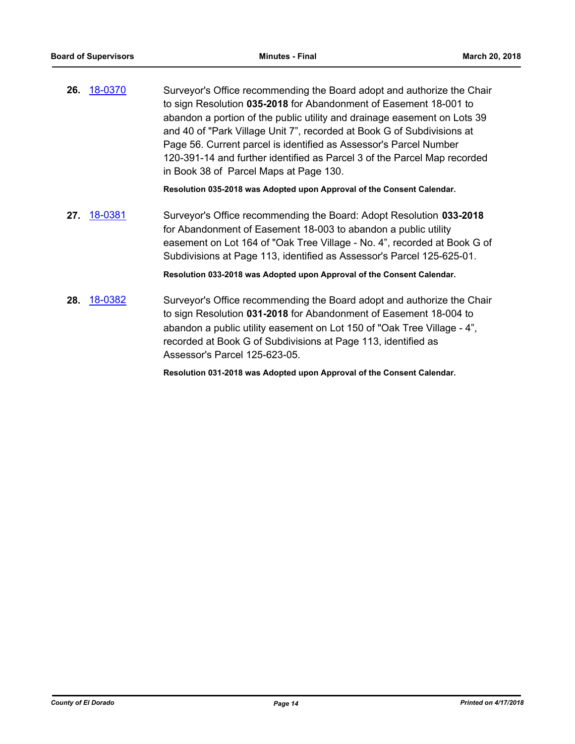**26.** [18-0370](http://eldorado.legistar.com/gateway.aspx?m=l&id=/matter.aspx?key=23714) Surveyor's Office recommending the Board adopt and authorize the Chair to sign Resolution **035-2018** for Abandonment of Easement 18-001 to abandon a portion of the public utility and drainage easement on Lots 39 and 40 of "Park Village Unit 7", recorded at Book G of Subdivisions at Page 56. Current parcel is identified as Assessor's Parcel Number 120-391-14 and further identified as Parcel 3 of the Parcel Map recorded in Book 38 of Parcel Maps at Page 130.

**Resolution 035-2018 was Adopted upon Approval of the Consent Calendar.**

**27.** [18-0381](http://eldorado.legistar.com/gateway.aspx?m=l&id=/matter.aspx?key=23726) Surveyor's Office recommending the Board: Adopt Resolution **033-2018** for Abandonment of Easement 18-003 to abandon a public utility easement on Lot 164 of "Oak Tree Village - No. 4", recorded at Book G of Subdivisions at Page 113, identified as Assessor's Parcel 125-625-01.

**Resolution 033-2018 was Adopted upon Approval of the Consent Calendar.**

**28.** [18-0382](http://eldorado.legistar.com/gateway.aspx?m=l&id=/matter.aspx?key=23727) Surveyor's Office recommending the Board adopt and authorize the Chair to sign Resolution **031-2018** for Abandonment of Easement 18-004 to abandon a public utility easement on Lot 150 of "Oak Tree Village - 4", recorded at Book G of Subdivisions at Page 113, identified as Assessor's Parcel 125-623-05.

**Resolution 031-2018 was Adopted upon Approval of the Consent Calendar.**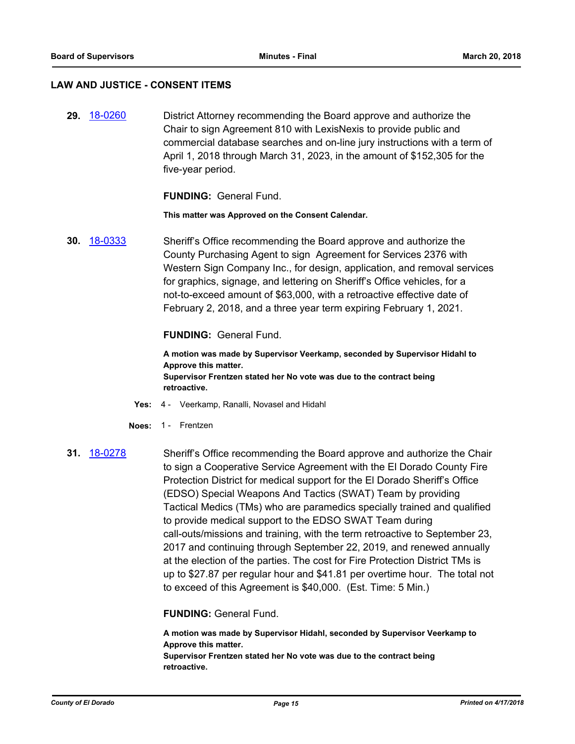#### **LAW AND JUSTICE - CONSENT ITEMS**

**29.** [18-0260](http://eldorado.legistar.com/gateway.aspx?m=l&id=/matter.aspx?key=23603) District Attorney recommending the Board approve and authorize the Chair to sign Agreement 810 with LexisNexis to provide public and commercial database searches and on-line jury instructions with a term of April 1, 2018 through March 31, 2023, in the amount of \$152,305 for the five-year period.

**FUNDING:** General Fund.

**This matter was Approved on the Consent Calendar.**

**30.** [18-0333](http://eldorado.legistar.com/gateway.aspx?m=l&id=/matter.aspx?key=23676) Sheriff's Office recommending the Board approve and authorize the County Purchasing Agent to sign Agreement for Services 2376 with Western Sign Company Inc., for design, application, and removal services for graphics, signage, and lettering on Sheriff's Office vehicles, for a not-to-exceed amount of \$63,000, with a retroactive effective date of February 2, 2018, and a three year term expiring February 1, 2021.

**FUNDING:** General Fund.

**A motion was made by Supervisor Veerkamp, seconded by Supervisor Hidahl to Approve this matter. Supervisor Frentzen stated her No vote was due to the contract being retroactive.**

- **Yes:** 4 Veerkamp, Ranalli, Novasel and Hidahl
- **Noes:** 1 Frentzen
- **31.** [18-0278](http://eldorado.legistar.com/gateway.aspx?m=l&id=/matter.aspx?key=23621) Sheriff's Office recommending the Board approve and authorize the Chair to sign a Cooperative Service Agreement with the El Dorado County Fire Protection District for medical support for the El Dorado Sheriff's Office (EDSO) Special Weapons And Tactics (SWAT) Team by providing Tactical Medics (TMs) who are paramedics specially trained and qualified to provide medical support to the EDSO SWAT Team during call-outs/missions and training, with the term retroactive to September 23, 2017 and continuing through September 22, 2019, and renewed annually at the election of the parties. The cost for Fire Protection District TMs is up to \$27.87 per regular hour and \$41.81 per overtime hour. The total not to exceed of this Agreement is \$40,000. (Est. Time: 5 Min.)

**FUNDING:** General Fund.

**A motion was made by Supervisor Hidahl, seconded by Supervisor Veerkamp to Approve this matter. Supervisor Frentzen stated her No vote was due to the contract being retroactive.**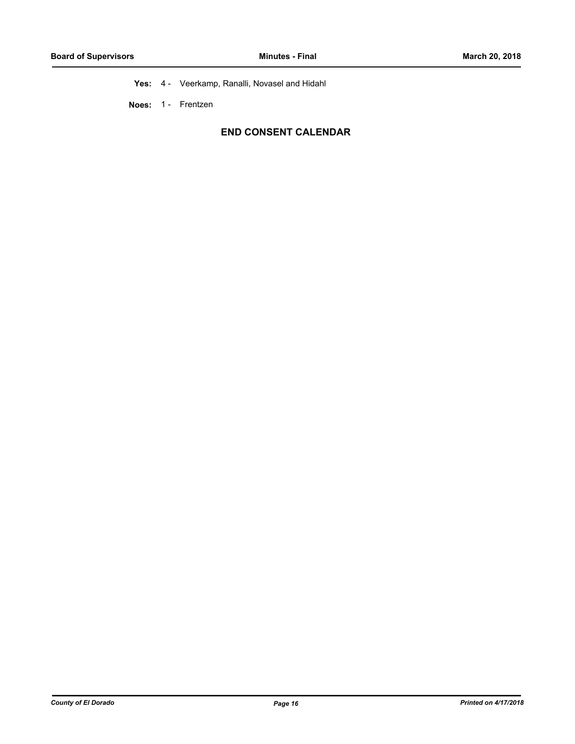**Yes:** 4 - Veerkamp, Ranalli, Novasel and Hidahl

**Noes:** 1 - Frentzen

# **END CONSENT CALENDAR**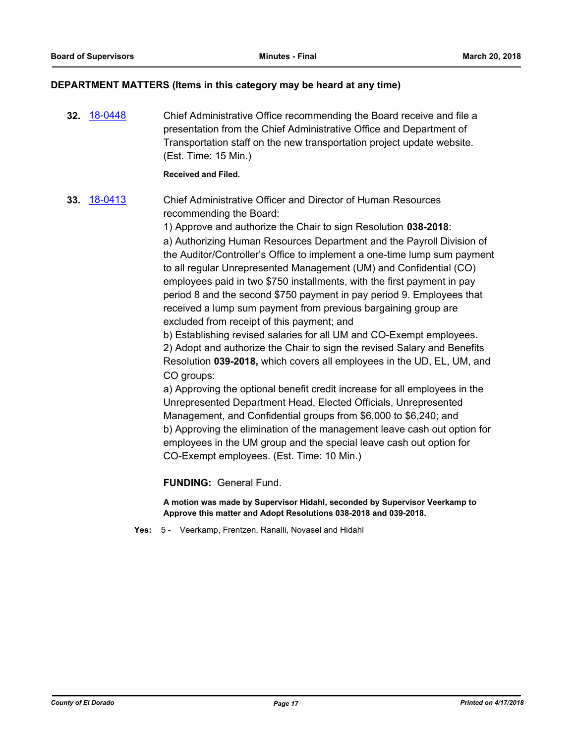# **DEPARTMENT MATTERS (Items in this category may be heard at any time)**

**32.** [18-0448](http://eldorado.legistar.com/gateway.aspx?m=l&id=/matter.aspx?key=23793) Chief Administrative Office recommending the Board receive and file a presentation from the Chief Administrative Office and Department of Transportation staff on the new transportation project update website. (Est. Time: 15 Min.) **Received and Filed. 33.** [18-0413](http://eldorado.legistar.com/gateway.aspx?m=l&id=/matter.aspx?key=23758) Chief Administrative Officer and Director of Human Resources recommending the Board: 1) Approve and authorize the Chair to sign Resolution **038-2018**: a) Authorizing Human Resources Department and the Payroll Division of the Auditor/Controller's Office to implement a one-time lump sum payment to all regular Unrepresented Management (UM) and Confidential (CO) employees paid in two \$750 installments, with the first payment in pay period 8 and the second \$750 payment in pay period 9. Employees that received a lump sum payment from previous bargaining group are excluded from receipt of this payment; and b) Establishing revised salaries for all UM and CO-Exempt employees. 2) Adopt and authorize the Chair to sign the revised Salary and Benefits Resolution **039-2018,** which covers all employees in the UD, EL, UM, and CO groups: a) Approving the optional benefit credit increase for all employees in the Unrepresented Department Head, Elected Officials, Unrepresented Management, and Confidential groups from \$6,000 to \$6,240; and b) Approving the elimination of the management leave cash out option for employees in the UM group and the special leave cash out option for CO-Exempt employees. (Est. Time: 10 Min.)

**FUNDING:** General Fund.

**A motion was made by Supervisor Hidahl, seconded by Supervisor Veerkamp to Approve this matter and Adopt Resolutions 038-2018 and 039-2018.**

**Yes:** 5 - Veerkamp, Frentzen, Ranalli, Novasel and Hidahl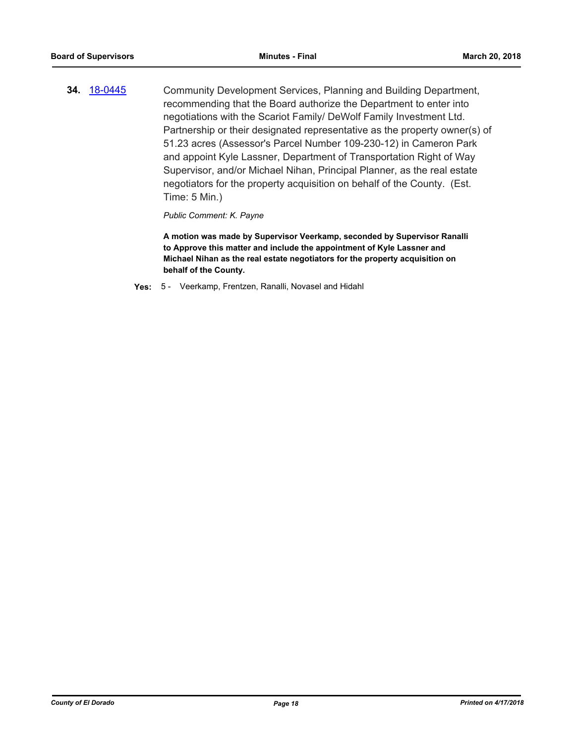**34.** [18-0445](http://eldorado.legistar.com/gateway.aspx?m=l&id=/matter.aspx?key=23790) Community Development Services, Planning and Building Department, recommending that the Board authorize the Department to enter into negotiations with the Scariot Family/ DeWolf Family Investment Ltd. Partnership or their designated representative as the property owner(s) of 51.23 acres (Assessor's Parcel Number 109-230-12) in Cameron Park and appoint Kyle Lassner, Department of Transportation Right of Way Supervisor, and/or Michael Nihan, Principal Planner, as the real estate negotiators for the property acquisition on behalf of the County. (Est. Time: 5 Min.)

*Public Comment: K. Payne*

**A motion was made by Supervisor Veerkamp, seconded by Supervisor Ranalli to Approve this matter and include the appointment of Kyle Lassner and Michael Nihan as the real estate negotiators for the property acquisition on behalf of the County.**

**Yes:** 5 - Veerkamp, Frentzen, Ranalli, Novasel and Hidahl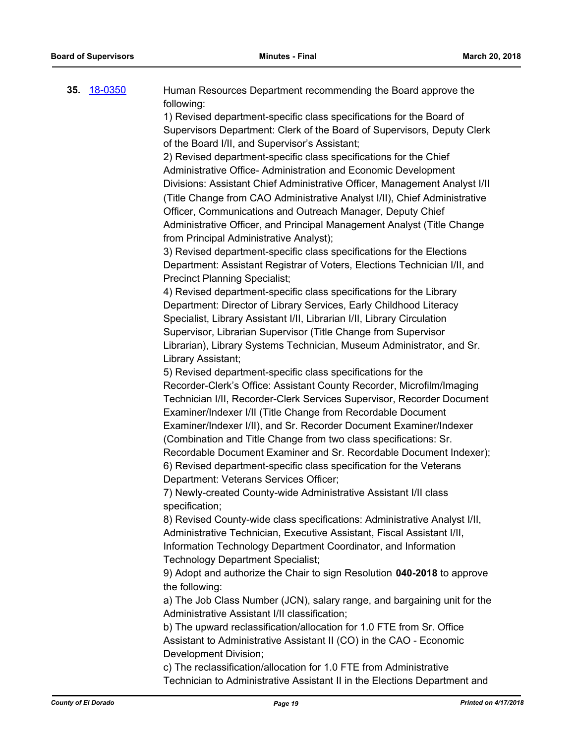| 35. | 18-0350 | Human Resources Department recommending the Board approve the<br>following:        |
|-----|---------|------------------------------------------------------------------------------------|
|     |         | 1) Revised department-specific class specifications for the Board of               |
|     |         | Supervisors Department: Clerk of the Board of Supervisors, Deputy Clerk            |
|     |         | of the Board I/II, and Supervisor's Assistant;                                     |
|     |         | 2) Revised department-specific class specifications for the Chief                  |
|     |         |                                                                                    |
|     |         | Administrative Office- Administration and Economic Development                     |
|     |         | Divisions: Assistant Chief Administrative Officer, Management Analyst I/II         |
|     |         | (Title Change from CAO Administrative Analyst I/II), Chief Administrative          |
|     |         | Officer, Communications and Outreach Manager, Deputy Chief                         |
|     |         | Administrative Officer, and Principal Management Analyst (Title Change             |
|     |         | from Principal Administrative Analyst);                                            |
|     |         | 3) Revised department-specific class specifications for the Elections              |
|     |         | Department: Assistant Registrar of Voters, Elections Technician I/II, and          |
|     |         | <b>Precinct Planning Specialist;</b>                                               |
|     |         | 4) Revised department-specific class specifications for the Library                |
|     |         | Department: Director of Library Services, Early Childhood Literacy                 |
|     |         | Specialist, Library Assistant I/II, Librarian I/II, Library Circulation            |
|     |         | Supervisor, Librarian Supervisor (Title Change from Supervisor                     |
|     |         | Librarian), Library Systems Technician, Museum Administrator, and Sr.              |
|     |         | Library Assistant;                                                                 |
|     |         | 5) Revised department-specific class specifications for the                        |
|     |         | Recorder-Clerk's Office: Assistant County Recorder, Microfilm/Imaging              |
|     |         | Technician I/II, Recorder-Clerk Services Supervisor, Recorder Document             |
|     |         | Examiner/Indexer I/II (Title Change from Recordable Document                       |
|     |         | Examiner/Indexer I/II), and Sr. Recorder Document Examiner/Indexer                 |
|     |         | (Combination and Title Change from two class specifications: Sr.                   |
|     |         | Recordable Document Examiner and Sr. Recordable Document Indexer);                 |
|     |         | 6) Revised department-specific class specification for the Veterans                |
|     |         | Department: Veterans Services Officer;                                             |
|     |         | 7) Newly-created County-wide Administrative Assistant I/II class<br>specification; |
|     |         | 8) Revised County-wide class specifications: Administrative Analyst I/II,          |
|     |         | Administrative Technician, Executive Assistant, Fiscal Assistant I/II,             |
|     |         | Information Technology Department Coordinator, and Information                     |
|     |         | <b>Technology Department Specialist;</b>                                           |
|     |         | 9) Adopt and authorize the Chair to sign Resolution 040-2018 to approve            |
|     |         | the following:                                                                     |
|     |         | a) The Job Class Number (JCN), salary range, and bargaining unit for the           |
|     |         | Administrative Assistant I/II classification;                                      |
|     |         | b) The upward reclassification/allocation for 1.0 FTE from Sr. Office              |
|     |         | Assistant to Administrative Assistant II (CO) in the CAO - Economic                |
|     |         | Development Division;                                                              |
|     |         | $\sim$ ) The realessification/allegation for 1.0 ETE from Administrative           |

c) The reclassification/allocation for 1.0 FTE from Administrative Technician to Administrative Assistant II in the Elections Department and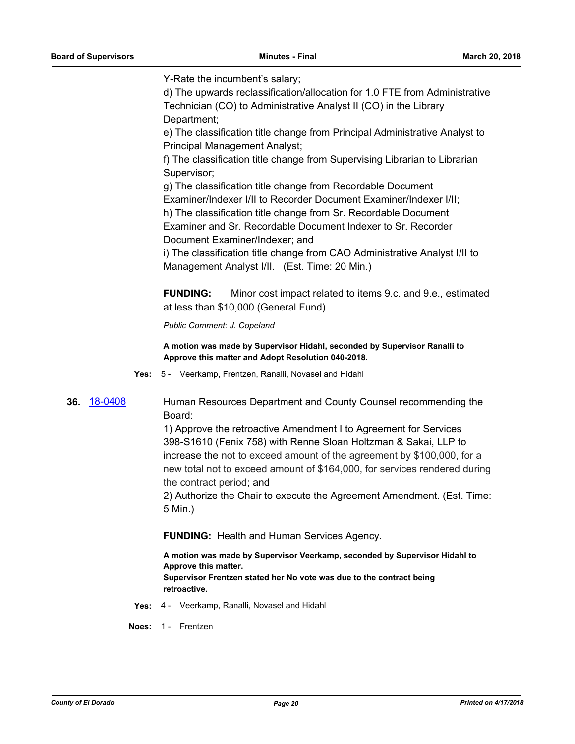Y-Rate the incumbent's salary;

d) The upwards reclassification/allocation for 1.0 FTE from Administrative Technician (CO) to Administrative Analyst II (CO) in the Library Department;

e) The classification title change from Principal Administrative Analyst to Principal Management Analyst;

f) The classification title change from Supervising Librarian to Librarian Supervisor;

g) The classification title change from Recordable Document

Examiner/Indexer I/II to Recorder Document Examiner/Indexer I/II;

h) The classification title change from Sr. Recordable Document Examiner and Sr. Recordable Document Indexer to Sr. Recorder Document Examiner/Indexer; and

i) The classification title change from CAO Administrative Analyst I/II to Management Analyst I/II. (Est. Time: 20 Min.)

**FUNDING:** Minor cost impact related to items 9.c. and 9.e., estimated at less than \$10,000 (General Fund)

*Public Comment: J. Copeland*

**A motion was made by Supervisor Hidahl, seconded by Supervisor Ranalli to Approve this matter and Adopt Resolution 040-2018.**

**Yes:** 5 - Veerkamp, Frentzen, Ranalli, Novasel and Hidahl

**36.** [18-0408](http://eldorado.legistar.com/gateway.aspx?m=l&id=/matter.aspx?key=23753) Human Resources Department and County Counsel recommending the Board:

> 1) Approve the retroactive Amendment I to Agreement for Services 398-S1610 (Fenix 758) with Renne Sloan Holtzman & Sakai, LLP to increase the not to exceed amount of the agreement by \$100,000, for a new total not to exceed amount of \$164,000, for services rendered during the contract period; and

> 2) Authorize the Chair to execute the Agreement Amendment. (Est. Time: 5 Min.)

**FUNDING:** Health and Human Services Agency.

**A motion was made by Supervisor Veerkamp, seconded by Supervisor Hidahl to Approve this matter. Supervisor Frentzen stated her No vote was due to the contract being** 

**retroactive.**

**Yes:** 4 - Veerkamp, Ranalli, Novasel and Hidahl

**Noes:** 1 - Frentzen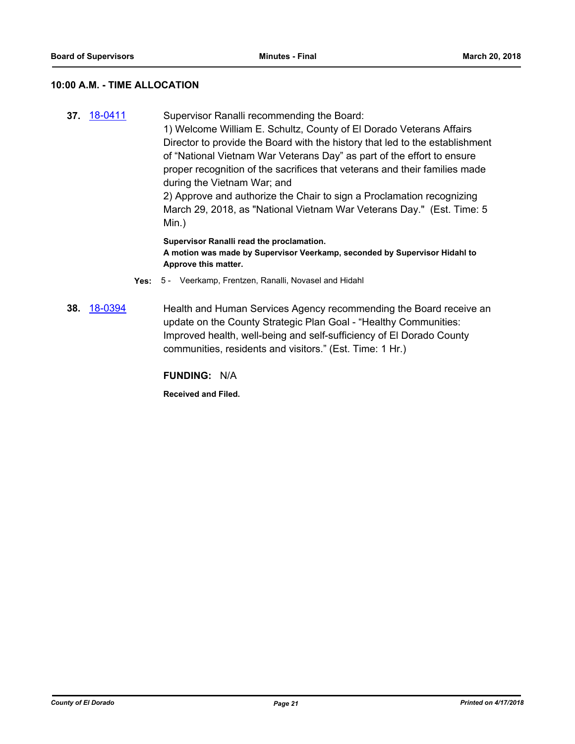# **10:00 A.M. - TIME ALLOCATION**

**37.** [18-0411](http://eldorado.legistar.com/gateway.aspx?m=l&id=/matter.aspx?key=23756) Supervisor Ranalli recommending the Board: 1) Welcome William E. Schultz, County of El Dorado Veterans Affairs Director to provide the Board with the history that led to the establishment of "National Vietnam War Veterans Day" as part of the effort to ensure proper recognition of the sacrifices that veterans and their families made during the Vietnam War; and 2) Approve and authorize the Chair to sign a Proclamation recognizing March 29, 2018, as "National Vietnam War Veterans Day." (Est. Time: 5 Min.) **Supervisor Ranalli read the proclamation.**

**A motion was made by Supervisor Veerkamp, seconded by Supervisor Hidahl to Approve this matter.**

- **Yes:** 5 Veerkamp, Frentzen, Ranalli, Novasel and Hidahl
- **38.** [18-0394](http://eldorado.legistar.com/gateway.aspx?m=l&id=/matter.aspx?key=23739) Health and Human Services Agency recommending the Board receive an update on the County Strategic Plan Goal - "Healthy Communities: Improved health, well-being and self-sufficiency of El Dorado County communities, residents and visitors." (Est. Time: 1 Hr.)

**FUNDING:** N/A

**Received and Filed.**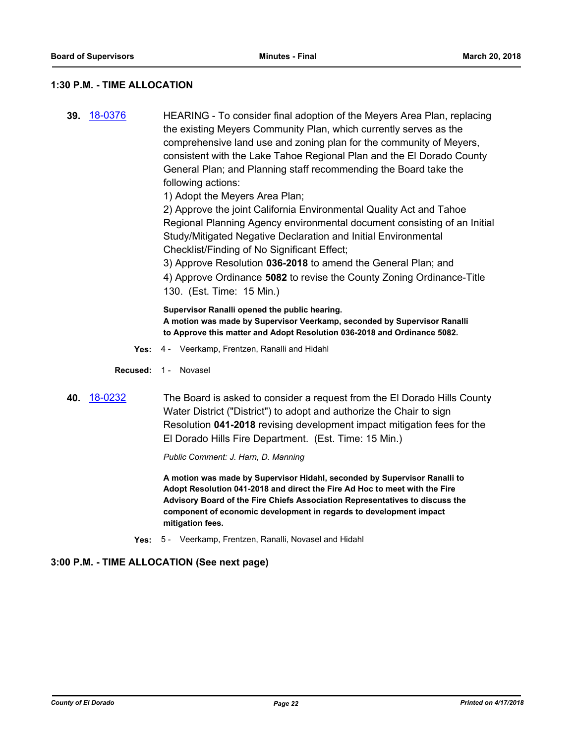## **1:30 P.M. - TIME ALLOCATION**

**39.** [18-0376](http://eldorado.legistar.com/gateway.aspx?m=l&id=/matter.aspx?key=23721) HEARING - To consider final adoption of the Meyers Area Plan, replacing the existing Meyers Community Plan, which currently serves as the comprehensive land use and zoning plan for the community of Meyers, consistent with the Lake Tahoe Regional Plan and the El Dorado County General Plan; and Planning staff recommending the Board take the following actions:

1) Adopt the Meyers Area Plan;

2) Approve the joint California Environmental Quality Act and Tahoe Regional Planning Agency environmental document consisting of an Initial Study/Mitigated Negative Declaration and Initial Environmental Checklist/Finding of No Significant Effect;

3) Approve Resolution **036-2018** to amend the General Plan; and 4) Approve Ordinance **5082** to revise the County Zoning Ordinance-Title 130. (Est. Time: 15 Min.)

**Supervisor Ranalli opened the public hearing. A motion was made by Supervisor Veerkamp, seconded by Supervisor Ranalli to Approve this matter and Adopt Resolution 036-2018 and Ordinance 5082.**

- **Yes:** 4 Veerkamp, Frentzen, Ranalli and Hidahl
- **Recused:** 1 Novasel
- **40.** [18-0232](http://eldorado.legistar.com/gateway.aspx?m=l&id=/matter.aspx?key=23574) The Board is asked to consider a request from the El Dorado Hills County Water District ("District") to adopt and authorize the Chair to sign Resolution **041-2018** revising development impact mitigation fees for the El Dorado Hills Fire Department. (Est. Time: 15 Min.)

*Public Comment: J. Harn, D. Manning*

**A motion was made by Supervisor Hidahl, seconded by Supervisor Ranalli to Adopt Resolution 041-2018 and direct the Fire Ad Hoc to meet with the Fire Advisory Board of the Fire Chiefs Association Representatives to discuss the component of economic development in regards to development impact mitigation fees.**

**Yes:** 5 - Veerkamp, Frentzen, Ranalli, Novasel and Hidahl

# **3:00 P.M. - TIME ALLOCATION (See next page)**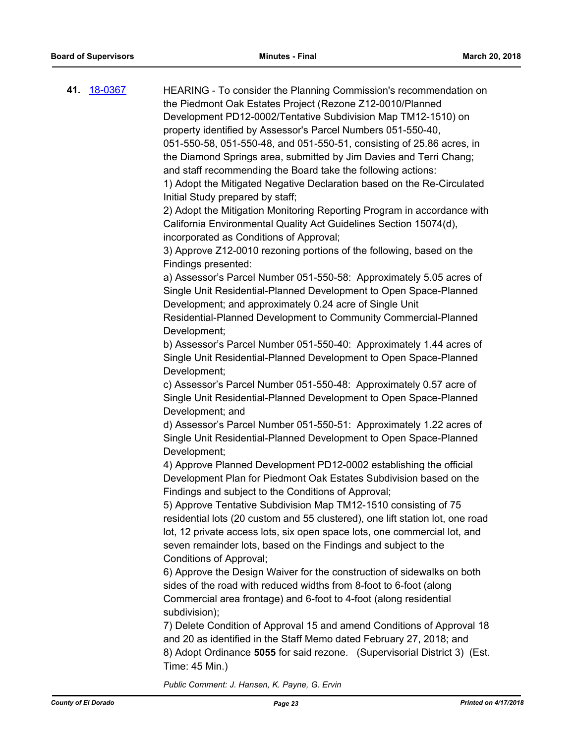| 41. 18-0367 | HEARING - To consider the Planning Commission's recommendation on<br>the Piedmont Oak Estates Project (Rezone Z12-0010/Planned<br>Development PD12-0002/Tentative Subdivision Map TM12-1510) on<br>property identified by Assessor's Parcel Numbers 051-550-40,<br>051-550-58, 051-550-48, and 051-550-51, consisting of 25.86 acres, in<br>the Diamond Springs area, submitted by Jim Davies and Terri Chang;<br>and staff recommending the Board take the following actions:<br>1) Adopt the Mitigated Negative Declaration based on the Re-Circulated<br>Initial Study prepared by staff;<br>2) Adopt the Mitigation Monitoring Reporting Program in accordance with<br>California Environmental Quality Act Guidelines Section 15074(d),<br>incorporated as Conditions of Approval;<br>3) Approve Z12-0010 rezoning portions of the following, based on the<br>Findings presented:<br>a) Assessor's Parcel Number 051-550-58: Approximately 5.05 acres of<br>Single Unit Residential-Planned Development to Open Space-Planned<br>Development; and approximately 0.24 acre of Single Unit<br>Residential-Planned Development to Community Commercial-Planned<br>Development;<br>b) Assessor's Parcel Number 051-550-40: Approximately 1.44 acres of<br>Single Unit Residential-Planned Development to Open Space-Planned<br>Development;<br>c) Assessor's Parcel Number 051-550-48: Approximately 0.57 acre of<br>Single Unit Residential-Planned Development to Open Space-Planned<br>Development; and |
|-------------|-------------------------------------------------------------------------------------------------------------------------------------------------------------------------------------------------------------------------------------------------------------------------------------------------------------------------------------------------------------------------------------------------------------------------------------------------------------------------------------------------------------------------------------------------------------------------------------------------------------------------------------------------------------------------------------------------------------------------------------------------------------------------------------------------------------------------------------------------------------------------------------------------------------------------------------------------------------------------------------------------------------------------------------------------------------------------------------------------------------------------------------------------------------------------------------------------------------------------------------------------------------------------------------------------------------------------------------------------------------------------------------------------------------------------------------------------------------------------------------------------------------|
|             | Development;<br>4) Approve Planned Development PD12-0002 establishing the official<br>Development Plan for Piedmont Oak Estates Subdivision based on the<br>Findings and subject to the Conditions of Approval;<br>5) Approve Tentative Subdivision Map TM12-1510 consisting of 75<br>residential lots (20 custom and 55 clustered), one lift station lot, one road<br>lot, 12 private access lots, six open space lots, one commercial lot, and<br>seven remainder lots, based on the Findings and subject to the<br>Conditions of Approval;<br>6) Approve the Design Waiver for the construction of sidewalks on both<br>sides of the road with reduced widths from 8-foot to 6-foot (along<br>Commercial area frontage) and 6-foot to 4-foot (along residential<br>subdivision);<br>7) Delete Condition of Approval 15 and amend Conditions of Approval 18<br>and 20 as identified in the Staff Memo dated February 27, 2018; and<br>8) Adopt Ordinance 5055 for said rezone. (Supervisorial District 3) (Est.<br>Time: 45 Min.)<br>Public Comment: J. Hansen, K. Payne, G. Ervin                                                                                                                                                                                                                                                                                                                                                                                                                        |
|             |                                                                                                                                                                                                                                                                                                                                                                                                                                                                                                                                                                                                                                                                                                                                                                                                                                                                                                                                                                                                                                                                                                                                                                                                                                                                                                                                                                                                                                                                                                             |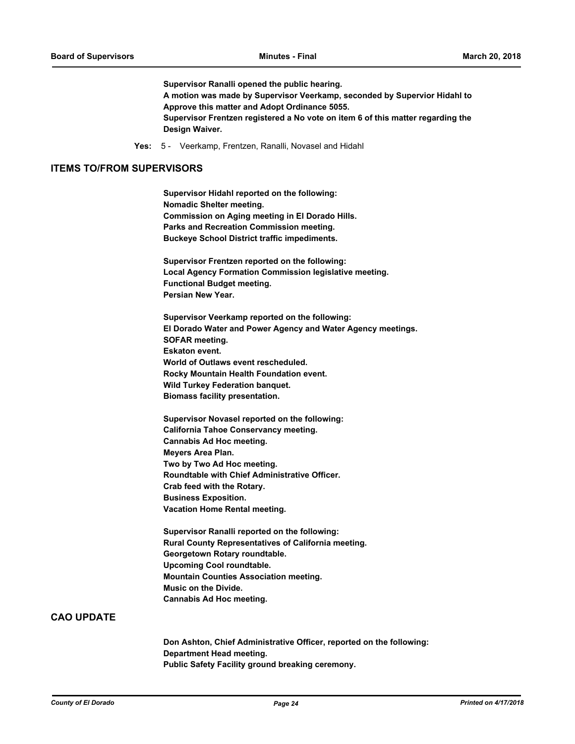**Supervisor Ranalli opened the public hearing. A motion was made by Supervisor Veerkamp, seconded by Supervior Hidahl to Approve this matter and Adopt Ordinance 5055. Supervisor Frentzen registered a No vote on item 6 of this matter regarding the Design Waiver.**

**Yes:** 5 - Veerkamp, Frentzen, Ranalli, Novasel and Hidahl

#### **ITEMS TO/FROM SUPERVISORS**

**Supervisor Hidahl reported on the following: Nomadic Shelter meeting. Commission on Aging meeting in El Dorado Hills. Parks and Recreation Commission meeting. Buckeye School District traffic impediments.**

**Supervisor Frentzen reported on the following: Local Agency Formation Commission legislative meeting. Functional Budget meeting. Persian New Year.**

**Supervisor Veerkamp reported on the following: El Dorado Water and Power Agency and Water Agency meetings. SOFAR meeting. Eskaton event. World of Outlaws event rescheduled. Rocky Mountain Health Foundation event. Wild Turkey Federation banquet. Biomass facility presentation.**

**Supervisor Novasel reported on the following: California Tahoe Conservancy meeting. Cannabis Ad Hoc meeting. Meyers Area Plan. Two by Two Ad Hoc meeting. Roundtable with Chief Administrative Officer. Crab feed with the Rotary. Business Exposition. Vacation Home Rental meeting.**

**Supervisor Ranalli reported on the following: Rural County Representatives of California meeting. Georgetown Rotary roundtable. Upcoming Cool roundtable. Mountain Counties Association meeting. Music on the Divide. Cannabis Ad Hoc meeting.**

# **CAO UPDATE**

**Don Ashton, Chief Administrative Officer, reported on the following: Department Head meeting. Public Safety Facility ground breaking ceremony.**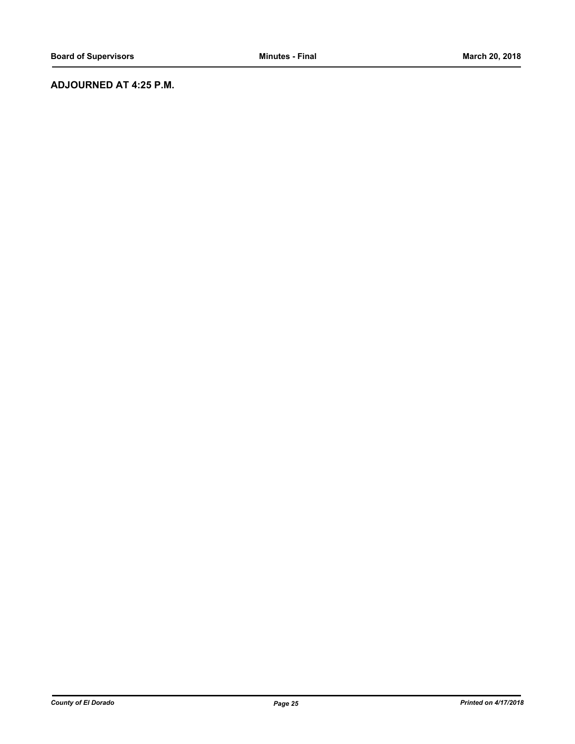# **ADJOURNED AT 4:25 P.M.**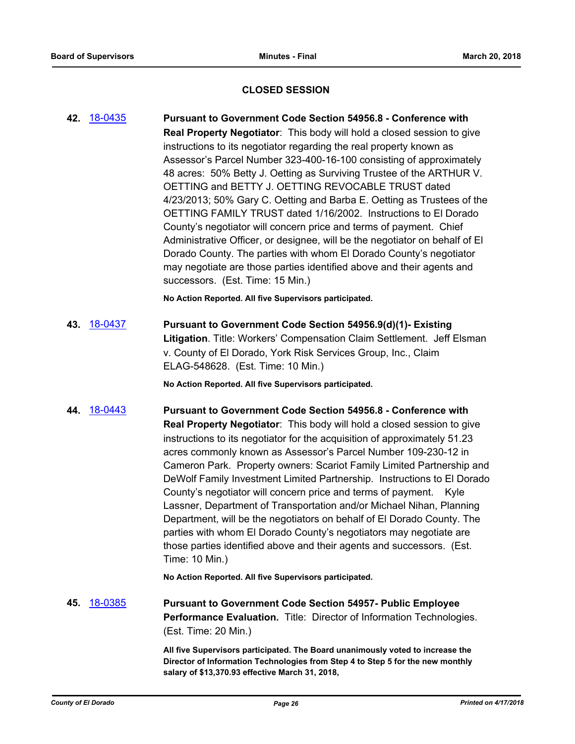# **CLOSED SESSION**

**42.** [18-0435](http://eldorado.legistar.com/gateway.aspx?m=l&id=/matter.aspx?key=23780) **Pursuant to Government Code Section 54956.8 - Conference with Real Property Negotiator**: This body will hold a closed session to give instructions to its negotiator regarding the real property known as Assessor's Parcel Number 323-400-16-100 consisting of approximately 48 acres: 50% Betty J. Oetting as Surviving Trustee of the ARTHUR V. OETTING and BETTY J. OETTING REVOCABLE TRUST dated 4/23/2013; 50% Gary C. Oetting and Barba E. Oetting as Trustees of the OETTING FAMILY TRUST dated 1/16/2002. Instructions to El Dorado County's negotiator will concern price and terms of payment. Chief Administrative Officer, or designee, will be the negotiator on behalf of El Dorado County. The parties with whom El Dorado County's negotiator may negotiate are those parties identified above and their agents and successors. (Est. Time: 15 Min.)

**No Action Reported. All five Supervisors participated.**

**43.** [18-0437](http://eldorado.legistar.com/gateway.aspx?m=l&id=/matter.aspx?key=23782) **Pursuant to Government Code Section 54956.9(d)(1)- Existing Litigation**. Title: Workers' Compensation Claim Settlement. Jeff Elsman v. County of El Dorado, York Risk Services Group, Inc., Claim ELAG-548628. (Est. Time: 10 Min.)

**No Action Reported. All five Supervisors participated.**

**44.** [18-0443](http://eldorado.legistar.com/gateway.aspx?m=l&id=/matter.aspx?key=23788) **Pursuant to Government Code Section 54956.8 - Conference with Real Property Negotiator**: This body will hold a closed session to give instructions to its negotiator for the acquisition of approximately 51.23 acres commonly known as Assessor's Parcel Number 109-230-12 in Cameron Park. Property owners: Scariot Family Limited Partnership and DeWolf Family Investment Limited Partnership. Instructions to El Dorado County's negotiator will concern price and terms of payment. Kyle Lassner, Department of Transportation and/or Michael Nihan, Planning Department, will be the negotiators on behalf of El Dorado County. The parties with whom El Dorado County's negotiators may negotiate are those parties identified above and their agents and successors. (Est. Time: 10 Min.)

**No Action Reported. All five Supervisors participated.**

**45.** [18-0385](http://eldorado.legistar.com/gateway.aspx?m=l&id=/matter.aspx?key=23730) **Pursuant to Government Code Section 54957- Public Employee Performance Evaluation.** Title: Director of Information Technologies. (Est. Time: 20 Min.)

> **All five Supervisors participated. The Board unanimously voted to increase the Director of Information Technologies from Step 4 to Step 5 for the new monthly salary of \$13,370.93 effective March 31, 2018,**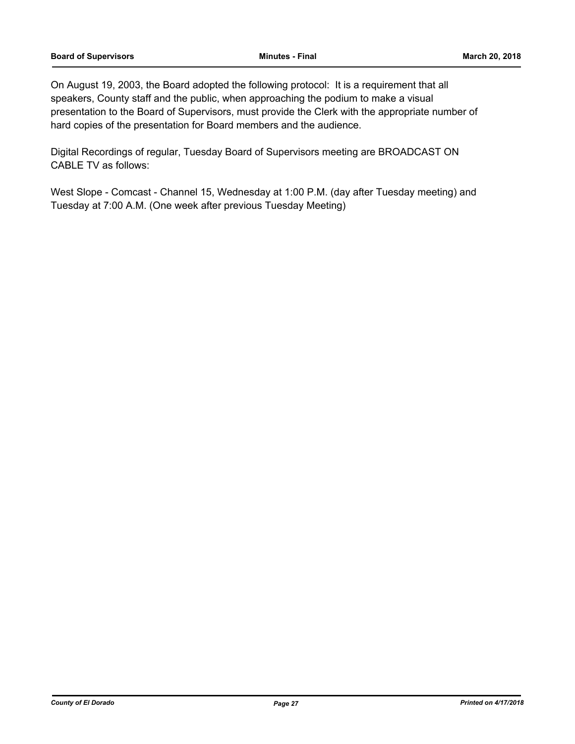On August 19, 2003, the Board adopted the following protocol: It is a requirement that all speakers, County staff and the public, when approaching the podium to make a visual presentation to the Board of Supervisors, must provide the Clerk with the appropriate number of hard copies of the presentation for Board members and the audience.

Digital Recordings of regular, Tuesday Board of Supervisors meeting are BROADCAST ON CABLE TV as follows:

West Slope - Comcast - Channel 15, Wednesday at 1:00 P.M. (day after Tuesday meeting) and Tuesday at 7:00 A.M. (One week after previous Tuesday Meeting)